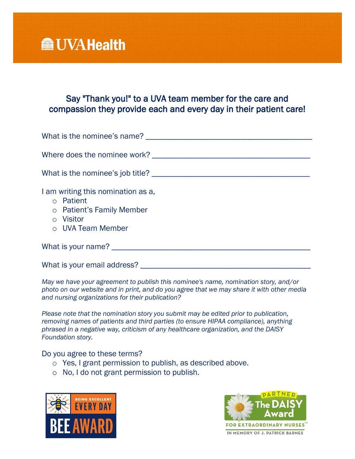

## Say "Thank you!" to a UVA team member for the care and compassion they provide each and every day in their patient care!

| What is the nominee's name?                                                                                    |
|----------------------------------------------------------------------------------------------------------------|
|                                                                                                                |
| What is the nominee's job title?                                                                               |
| I am writing this nomination as a,<br>o Patient<br>o Patient's Family Member<br>o Visitor<br>○ UVA Team Member |
| What is your name?                                                                                             |

What is your email address? \_\_\_\_\_\_\_\_\_\_\_\_\_\_\_\_\_\_\_\_\_\_\_\_\_\_\_\_\_\_\_\_\_\_\_\_\_\_\_\_\_\_

*May we have your agreement to publish this nominee's name, nomination story, and/or photo on our website and in print, and do you agree that we may share it with other media and nursing organizations for their publication?*

*Please note that the nomination story you submit may be edited prior to publication, removing names of patients and third parties (to ensure HIPAA compliance), anything phrased in a negative way, criticism of any healthcare organization, and the DAISY Foundation story.*

Do you agree to these terms?

- o Yes, I grant permission to publish, as described above.
- o No, I do not grant permission to publish.



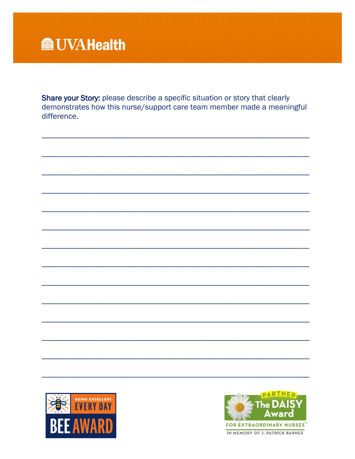

Share your Story: please describe a specific situation or story that clearly demonstrates how this nurse/support care team member made a meaningful difference.





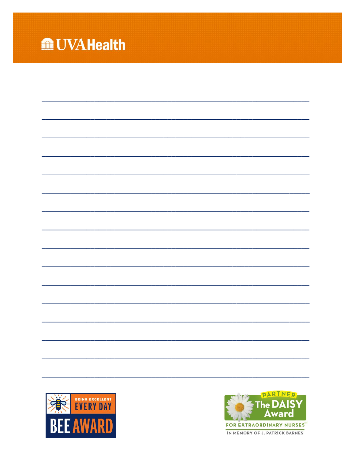